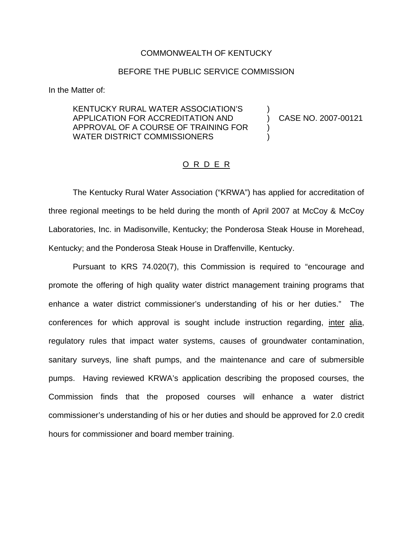## COMMONWEALTH OF KENTUCKY

## BEFORE THE PUBLIC SERVICE COMMISSION

In the Matter of:

KENTUCKY RURAL WATER ASSOCIATION'S ) APPLICATION FOR ACCREDITATION AND ) CASE NO. 2007-00121 APPROVAL OF A COURSE OF TRAINING FOR ) WATER DISTRICT COMMISSIONERS

## O R D E R

The Kentucky Rural Water Association ("KRWA") has applied for accreditation of three regional meetings to be held during the month of April 2007 at McCoy & McCoy Laboratories, Inc. in Madisonville, Kentucky; the Ponderosa Steak House in Morehead, Kentucky; and the Ponderosa Steak House in Draffenville, Kentucky.

Pursuant to KRS 74.020(7), this Commission is required to "encourage and promote the offering of high quality water district management training programs that enhance a water district commissioner's understanding of his or her duties." The conferences for which approval is sought include instruction regarding, inter alia, regulatory rules that impact water systems, causes of groundwater contamination, sanitary surveys, line shaft pumps, and the maintenance and care of submersible pumps. Having reviewed KRWA's application describing the proposed courses, the Commission finds that the proposed courses will enhance a water district commissioner's understanding of his or her duties and should be approved for 2.0 credit hours for commissioner and board member training.